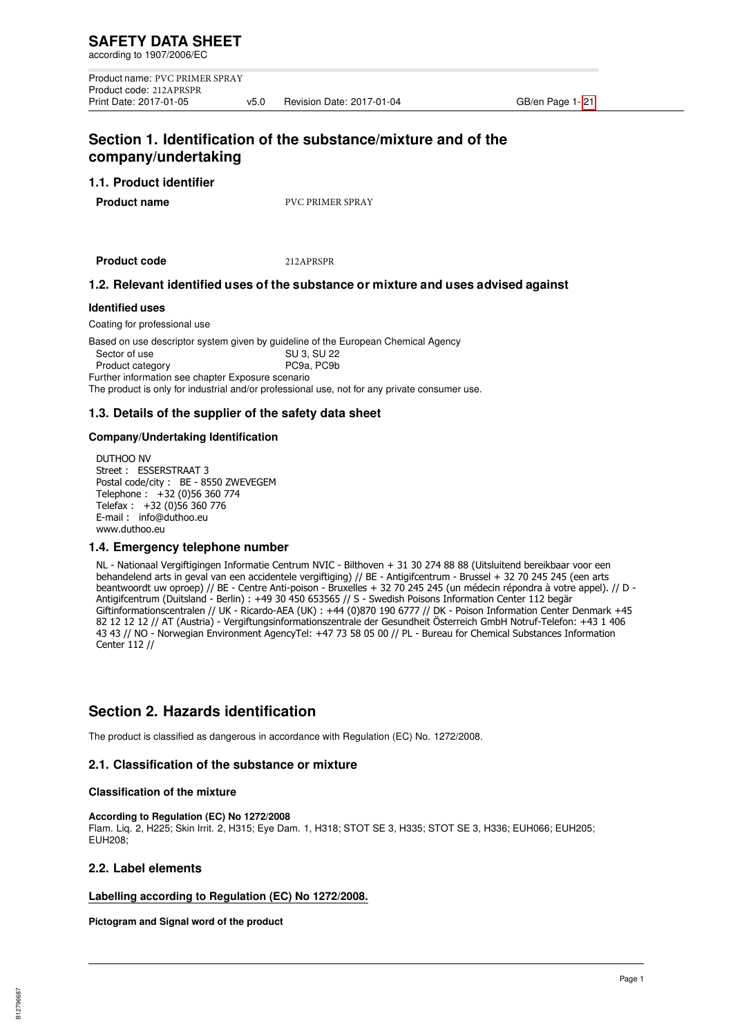Product name: PVC PRIMER SPRAY Product code: 212APRSPR<br>Print Date: 2017-01-05 v5.0 Revision Date: 2017-01-04 GB/en Page 1- 21

# **Section 1. Identification of the substance/mixture and of the company/undertaking**

## **1.1. Product identifier**

**Product name** PVC PRIMER SPRAY

**Product code** 212APRSPR

# **1.2. Relevant identified uses of the substance or mixture and uses advised against**

#### **Identified uses**

Coating for professional use

Based on use descriptor system given by guideline of the European Chemical Agency Sector of use  $\overrightarrow{S}$   $\overrightarrow{S}$   $\overrightarrow{S}$   $\overrightarrow{S}$   $\overrightarrow{S}$   $\overrightarrow{S}$   $\overrightarrow{S}$   $\overrightarrow{S}$   $\overrightarrow{S}$   $\overrightarrow{S}$   $\overrightarrow{S}$   $\overrightarrow{S}$   $\overrightarrow{S}$   $\overrightarrow{S}$   $\overrightarrow{S}$   $\overrightarrow{S}$   $\overrightarrow{S}$   $\overrightarrow{S}$   $\overrightarrow{S}$   $\overrightarrow{S}$   $\overrightarrow{S}$   $\overrightarrow{S}$   $\overrightarrow{S}$  Product category **PC9a, PC9b** Further information see chapter Exposure scenario The product is only for industrial and/or professional use, not for any private consumer use.

## **1.3. Details of the supplier of the safety data sheet**

#### **Company/Undertaking Identification**

DUTHOO NV Street : ESSERSTRAAT 3 Postal code/city : BE - 8550 ZWEVEGEM Telephone : +32 (0)56 360 774 Telefax : +32 (0)56 360 776 E-mail : info@duthoo.eu www.duthoo.eu

## **1.4. Emergency telephone number**

NL - Nationaal Vergiftigingen Informatie Centrum NVIC - Bilthoven + 31 30 274 88 88 (Uitsluitend bereikbaar voor een behandelend arts in geval van een accidentele vergiftiging) // BE - Antigifcentrum - Brussel + 32 70 245 245 (een arts beantwoordt uw oproep) // BE - Centre Anti-poison - Bruxelles + 32 70 245 245 (un médecin répondra à votre appel). // D - Antigifcentrum (Duitsland - Berlin) : +49 30 450 653565 // S - Swedish Poisons Information Center 112 begär Giftinformationscentralen // UK - Ricardo-AEA (UK) : +44 (0)870 190 6777 // DK - Poison Information Center Denmark +45 82 12 12 12 // AT (Austria) - Vergiftungsinformationszentrale der Gesundheit Österreich GmbH Notruf-Telefon: +43 1 406 43 43 // NO - Norwegian Environment AgencyTel: +47 73 58 05 00 // PL - Bureau for Chemical Substances Information Center 112 //

# **Section 2. Hazards identification**

The product is classified as dangerous in accordance with Regulation (EC) No. 1272/2008.

# **2.1. Classification of the substance or mixture**

#### **Classification of the mixture**

#### **According to Regulation (EC) No 1272/2008**

Flam. Liq. 2, H225; Skin Irrit. 2, H315; Eye Dam. 1, H318; STOT SE 3, H335; STOT SE 3, H336; EUH066; EUH205; ELIH208<sup>:</sup>

## **2.2. Label elements**

## **Labelling according to Regulation (EC) No 1272/2008.**

**Pictogram and Signal word of the product**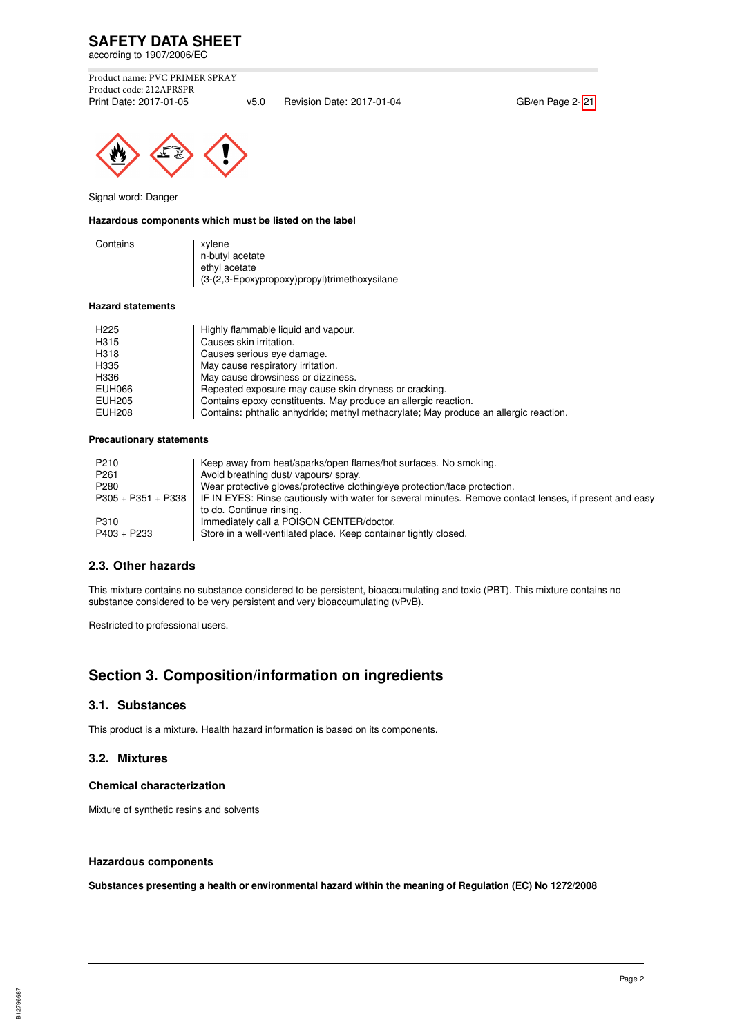

Product name: PVC PRIMER SPRAY Product code: 212APRSPR<br>Print Date: 2017-01-05

v5.0 Revision Date: 2017-01-04 GB/en Page 2- 21



Signal word: Danger

#### **Hazardous components which must be listed on the label**

| Contains | xylene                                       |
|----------|----------------------------------------------|
|          | n-butyl acetate                              |
|          | ethyl acetate                                |
|          | (3-(2,3-Epoxypropoxy)propyl)trimethoxysilane |

#### **Hazard statements**

| H <sub>225</sub> | Highly flammable liquid and vapour.                                                  |
|------------------|--------------------------------------------------------------------------------------|
| H315             | Causes skin irritation.                                                              |
| H318             | Causes serious eye damage.                                                           |
| H335             | May cause respiratory irritation.                                                    |
| H336             | May cause drowsiness or dizziness.                                                   |
| EUH066           | Repeated exposure may cause skin dryness or cracking.                                |
| <b>EUH205</b>    | Contains epoxy constituents. May produce an allergic reaction.                       |
| <b>EUH208</b>    | Contains: phthalic anhydride; methyl methacrylate; May produce an allergic reaction. |

#### **Precautionary statements**

| P210                 | Keep away from heat/sparks/open flames/hot surfaces. No smoking.                                        |
|----------------------|---------------------------------------------------------------------------------------------------------|
| P <sub>261</sub>     | Avoid breathing dust/vapours/spray.                                                                     |
| P280                 | Wear protective gloves/protective clothing/eye protection/face protection.                              |
| $P305 + P351 + P338$ | IF IN EYES: Rinse cautiously with water for several minutes. Remove contact lenses, if present and easy |
|                      | to do. Continue rinsing.                                                                                |
| P310                 | Immediately call a POISON CENTER/doctor.                                                                |
| P403 + P233          | Store in a well-ventilated place. Keep container tightly closed.                                        |

## **2.3. Other hazards**

This mixture contains no substance considered to be persistent, bioaccumulating and toxic (PBT). This mixture contains no substance considered to be very persistent and very bioaccumulating (vPvB).

Restricted to professional users.

# **Section 3. Composition/information on ingredients**

#### **3.1. Substances**

This product is a mixture. Health hazard information is based on its components.

## **3.2. Mixtures**

#### **Chemical characterization**

Mixture of synthetic resins and solvents

## **Hazardous components**

**Substances presenting a health or environmental hazard within the meaning of Regulation (EC) No 1272/2008**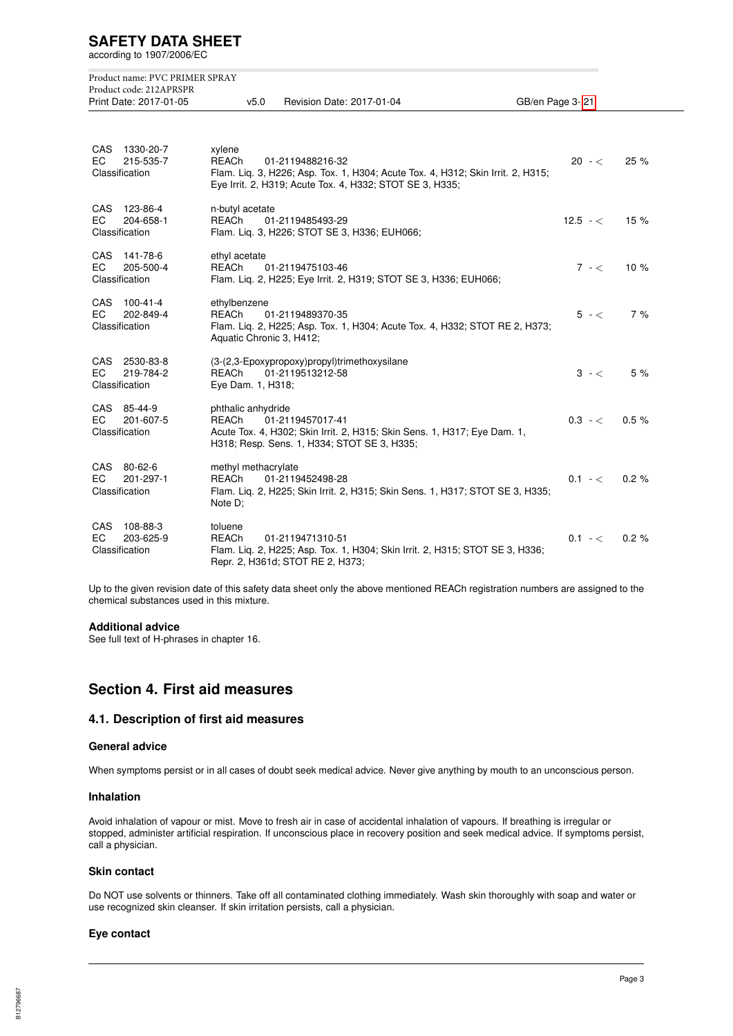according to 1907/2006/EC

|                   | Product name: PVC PRIMER SPRAY<br>Product code: 212APRSPR<br>Print Date: 2017-01-05 | v5.0<br>Revision Date: 2017-01-04                                                                                                                                                         | GB/en Page 3-21 |      |
|-------------------|-------------------------------------------------------------------------------------|-------------------------------------------------------------------------------------------------------------------------------------------------------------------------------------------|-----------------|------|
| <b>CAS</b><br>EC. | 1330-20-7<br>215-535-7<br>Classification                                            | xylene<br><b>REACh</b><br>01-2119488216-32<br>Flam. Liq. 3, H226; Asp. Tox. 1, H304; Acute Tox. 4, H312; Skin Irrit. 2, H315;<br>Eye Irrit. 2, H319; Acute Tox. 4, H332; STOT SE 3, H335; | $20 - <$        | 25 % |
| CAS<br>EC.        | 123-86-4<br>204-658-1<br>Classification                                             | n-butyl acetate<br><b>REACh</b><br>01-2119485493-29<br>Flam. Lig. 3, H226; STOT SE 3, H336; EUH066;                                                                                       | $12.5 - c$      | 15%  |
| CAS<br>EC.        | 141-78-6<br>205-500-4<br>Classification                                             | ethyl acetate<br><b>REACh</b><br>01-2119475103-46<br>Flam. Lig. 2, H225; Eye Irrit. 2, H319; STOT SE 3, H336; EUH066;                                                                     | $7 - <$         | 10%  |
| CAS<br>ЕC         | 100-41-4<br>202-849-4<br>Classification                                             | ethylbenzene<br><b>REACh</b><br>01-2119489370-35<br>Flam. Liq. 2, H225; Asp. Tox. 1, H304; Acute Tox. 4, H332; STOT RE 2, H373;<br>Aquatic Chronic 3, H412;                               | $5 - <$         | 7%   |
| CAS<br>EC.        | 2530-83-8<br>219-784-2<br>Classification                                            | (3-(2,3-Epoxypropoxy)propyl)trimethoxysilane<br><b>REACh</b><br>01-2119513212-58<br>Eye Dam. 1, H318;                                                                                     | $3 - <$         | 5 %  |
| EC.               | CAS 85-44-9<br>201-607-5<br>Classification                                          | phthalic anhydride<br><b>REACh</b><br>01-2119457017-41<br>Acute Tox. 4, H302; Skin Irrit. 2, H315; Skin Sens. 1, H317; Eye Dam. 1,<br>H318; Resp. Sens. 1, H334; STOT SE 3, H335;         | $0.3 - <$       | 0.5% |
| CAS<br>EC.        | 80-62-6<br>201-297-1<br>Classification                                              | methyl methacrylate<br><b>REACh</b><br>01-2119452498-28<br>Flam. Lig. 2, H225; Skin Irrit. 2, H315; Skin Sens. 1, H317; STOT SE 3, H335;<br>Note D;                                       | $0.1 - <$       | 0.2% |
| CAS<br>EC.        | 108-88-3<br>203-625-9<br>Classification                                             | toluene<br><b>REACh</b><br>01-2119471310-51<br>Flam. Lig. 2, H225; Asp. Tox. 1, H304; Skin Irrit. 2, H315; STOT SE 3, H336;<br>Repr. 2, H361d; STOT RE 2, H373;                           | $0.1 - c$       | 0.2% |

Up to the given revision date of this safety data sheet only the above mentioned REACh registration numbers are assigned to the chemical substances used in this mixture.

#### **Additional advice**

See full text of H-phrases in chapter 16.

# **Section 4. First aid measures**

## **4.1. Description of first aid measures**

## **General advice**

When symptoms persist or in all cases of doubt seek medical advice. Never give anything by mouth to an unconscious person.

#### **Inhalation**

Avoid inhalation of vapour or mist. Move to fresh air in case of accidental inhalation of vapours. If breathing is irregular or stopped, administer artificial respiration. If unconscious place in recovery position and seek medical advice. If symptoms persist, call a physician.

#### **Skin contact**

Do NOT use solvents or thinners. Take off all contaminated clothing immediately. Wash skin thoroughly with soap and water or use recognized skin cleanser. If skin irritation persists, call a physician.

#### **Eye contact**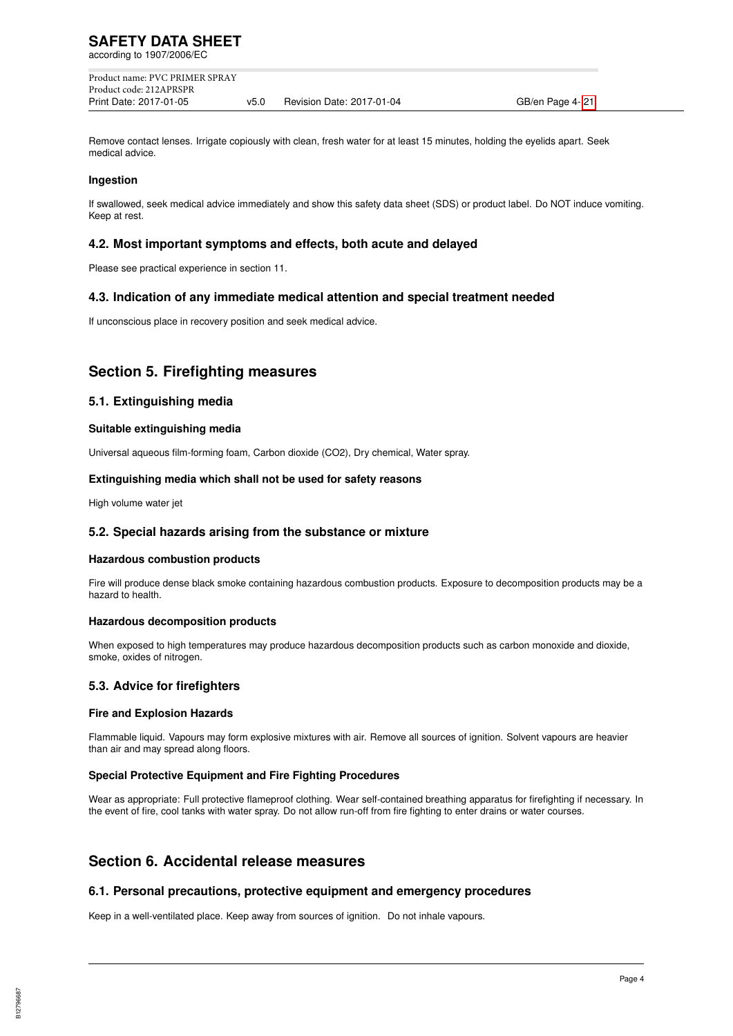Product name: PVC PRIMER SPRAY Product code: 212APRSPR Print Date: 2017-01-05 v5.0 Revision Date: 2017-01-04 GB/en Page 4- 21

Remove contact lenses. Irrigate copiously with clean, fresh water for at least 15 minutes, holding the eyelids apart. Seek medical advice.

#### **Ingestion**

If swallowed, seek medical advice immediately and show this safety data sheet (SDS) or product label. Do NOT induce vomiting. Keep at rest.

#### **4.2. Most important symptoms and effects, both acute and delayed**

Please see practical experience in section 11.

## **4.3. Indication of any immediate medical attention and special treatment needed**

If unconscious place in recovery position and seek medical advice.

# **Section 5. Firefighting measures**

#### **5.1. Extinguishing media**

#### **Suitable extinguishing media**

Universal aqueous film-forming foam, Carbon dioxide (CO2), Dry chemical, Water spray.

#### **Extinguishing media which shall not be used for safety reasons**

High volume water jet

#### **5.2. Special hazards arising from the substance or mixture**

#### **Hazardous combustion products**

Fire will produce dense black smoke containing hazardous combustion products. Exposure to decomposition products may be a hazard to health.

#### **Hazardous decomposition products**

When exposed to high temperatures may produce hazardous decomposition products such as carbon monoxide and dioxide, smoke, oxides of nitrogen.

## **5.3. Advice for firefighters**

#### **Fire and Explosion Hazards**

Flammable liquid. Vapours may form explosive mixtures with air. Remove all sources of ignition. Solvent vapours are heavier than air and may spread along floors.

#### **Special Protective Equipment and Fire Fighting Procedures**

Wear as appropriate: Full protective flameproof clothing. Wear self-contained breathing apparatus for firefighting if necessary. In the event of fire, cool tanks with water spray. Do not allow run-off from fire fighting to enter drains or water courses.

# **Section 6. Accidental release measures**

#### **6.1. Personal precautions, protective equipment and emergency procedures**

Keep in a well-ventilated place. Keep away from sources of ignition. Do not inhale vapours.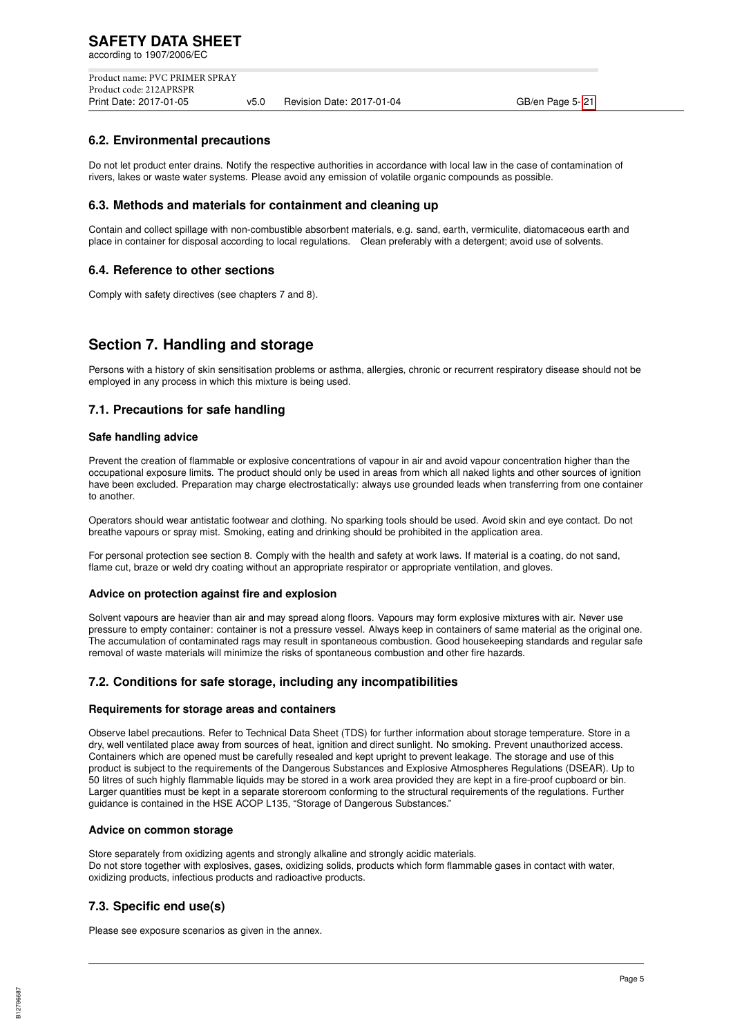Product name: PVC PRIMER SPRAY Product code: 212APRSPR<br>Print Date: 2017-01-05 v5.0 Revision Date: 2017-01-04 GB/en Page 5- 21

## **6.2. Environmental precautions**

Do not let product enter drains. Notify the respective authorities in accordance with local law in the case of contamination of rivers, lakes or waste water systems. Please avoid any emission of volatile organic compounds as possible.

## **6.3. Methods and materials for containment and cleaning up**

Contain and collect spillage with non-combustible absorbent materials, e.g. sand, earth, vermiculite, diatomaceous earth and place in container for disposal according to local regulations. Clean preferably with a detergent; avoid use of solvents.

## **6.4. Reference to other sections**

Comply with safety directives (see chapters 7 and 8).

# **Section 7. Handling and storage**

Persons with a history of skin sensitisation problems or asthma, allergies, chronic or recurrent respiratory disease should not be employed in any process in which this mixture is being used.

## **7.1. Precautions for safe handling**

#### **Safe handling advice**

Prevent the creation of flammable or explosive concentrations of vapour in air and avoid vapour concentration higher than the occupational exposure limits. The product should only be used in areas from which all naked lights and other sources of ignition have been excluded. Preparation may charge electrostatically: always use grounded leads when transferring from one container to another.

Operators should wear antistatic footwear and clothing. No sparking tools should be used. Avoid skin and eye contact. Do not breathe vapours or spray mist. Smoking, eating and drinking should be prohibited in the application area.

For personal protection see section 8. Comply with the health and safety at work laws. If material is a coating, do not sand, flame cut, braze or weld dry coating without an appropriate respirator or appropriate ventilation, and gloves.

#### **Advice on protection against fire and explosion**

Solvent vapours are heavier than air and may spread along floors. Vapours may form explosive mixtures with air. Never use pressure to empty container: container is not a pressure vessel. Always keep in containers of same material as the original one. The accumulation of contaminated rags may result in spontaneous combustion. Good housekeeping standards and regular safe removal of waste materials will minimize the risks of spontaneous combustion and other fire hazards.

## **7.2. Conditions for safe storage, including any incompatibilities**

#### **Requirements for storage areas and containers**

Observe label precautions. Refer to Technical Data Sheet (TDS) for further information about storage temperature. Store in a dry, well ventilated place away from sources of heat, ignition and direct sunlight. No smoking. Prevent unauthorized access. Containers which are opened must be carefully resealed and kept upright to prevent leakage. The storage and use of this product is subject to the requirements of the Dangerous Substances and Explosive Atmospheres Regulations (DSEAR). Up to 50 litres of such highly flammable liquids may be stored in a work area provided they are kept in a fire-proof cupboard or bin. Larger quantities must be kept in a separate storeroom conforming to the structural requirements of the regulations. Further guidance is contained in the HSE ACOP L135, "Storage of Dangerous Substances."

#### **Advice on common storage**

Store separately from oxidizing agents and strongly alkaline and strongly acidic materials. Do not store together with explosives, gases, oxidizing solids, products which form flammable gases in contact with water, oxidizing products, infectious products and radioactive products.

## **7.3. Specific end use(s)**

Please see exposure scenarios as given in the annex.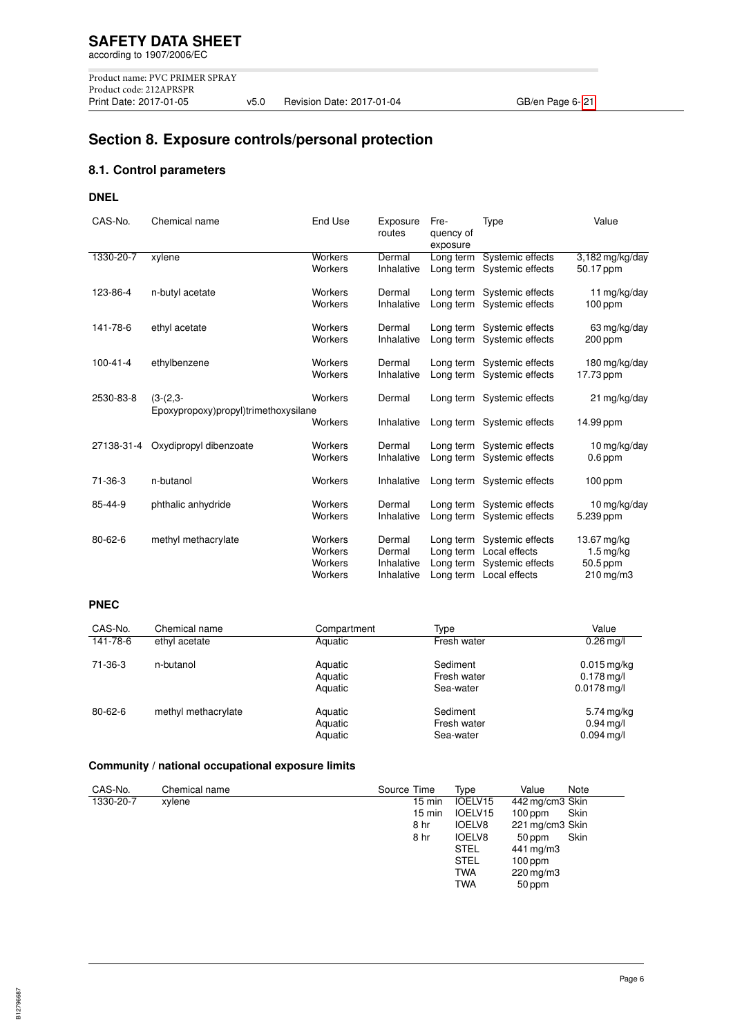# **Section 8. Exposure controls/personal protection**

# **8.1. Control parameters**

## **DNEL**

| CAS-No.        | Chemical name                        | End Use                                  | Exposure<br>routes                           | Fre-<br>quency of<br>exposure                    | Type                                                                   | Value                                                               |
|----------------|--------------------------------------|------------------------------------------|----------------------------------------------|--------------------------------------------------|------------------------------------------------------------------------|---------------------------------------------------------------------|
| 1330-20-7      | xylene                               | <b>Workers</b><br>Workers                | Dermal<br>Inhalative                         | Long term<br>Long term                           | Systemic effects<br>Systemic effects                                   | 3,182 mg/kg/day<br>50.17 ppm                                        |
| 123-86-4       | n-butyl acetate                      | Workers<br>Workers                       | Dermal<br>Inhalative                         | Long term                                        | Long term Systemic effects<br>Systemic effects                         | 11 mg/kg/day<br>100 ppm                                             |
| 141-78-6       | ethyl acetate                        | Workers<br>Workers                       | Dermal<br>Inhalative                         | Long term                                        | Long term Systemic effects<br>Systemic effects                         | 63 mg/kg/day<br>$200$ ppm                                           |
| $100 - 41 - 4$ | ethylbenzene                         | Workers<br>Workers                       | Dermal<br>Inhalative                         | Long term                                        | Long term Systemic effects<br>Systemic effects                         | 180 mg/kg/day<br>17.73 ppm                                          |
| 2530-83-8      | $(3-(2,3-$                           | Workers                                  | Dermal                                       |                                                  | Long term Systemic effects                                             | 21 mg/kg/day                                                        |
|                | Epoxypropoxy)propyl)trimethoxysilane | Workers                                  | Inhalative                                   |                                                  | Long term Systemic effects                                             | 14.99 ppm                                                           |
| 27138-31-4     | Oxydipropyl dibenzoate               | Workers<br>Workers                       | Dermal<br>Inhalative                         | Long term<br>Long term                           | Systemic effects<br>Systemic effects                                   | 10 mg/kg/day<br>$0.6$ ppm                                           |
| $71 - 36 - 3$  | n-butanol                            | Workers                                  | Inhalative                                   | Long term                                        | Systemic effects                                                       | $100$ ppm                                                           |
| 85-44-9        | phthalic anhydride                   | Workers<br>Workers                       | Dermal<br>Inhalative                         | Long term<br>Long term                           | Systemic effects<br>Systemic effects                                   | 10 mg/kg/day<br>5.239 ppm                                           |
| $80 - 62 - 6$  | methyl methacrylate                  | Workers<br>Workers<br>Workers<br>Workers | Dermal<br>Dermal<br>Inhalative<br>Inhalative | Long term<br>Long term<br>Long term<br>Long term | Systemic effects<br>Local effects<br>Systemic effects<br>Local effects | 13.67 mg/kg<br>$1.5 \,\mathrm{mg/kg}$<br>50.5 ppm<br>$210$ mg/m $3$ |

#### **PNEC**

| CAS-No.       | Chemical name       | Compartment                   | Type                                 | Value                                          |
|---------------|---------------------|-------------------------------|--------------------------------------|------------------------------------------------|
| 141-78-6      | ethyl acetate       | Aquatic                       | Fresh water                          | $0.26$ mg/l                                    |
| 71-36-3       | n-butanol           | Aquatic<br>Aquatic<br>Aquatic | Sediment<br>Fresh water<br>Sea-water | $0.015$ mg/kg<br>$0.178$ mg/l<br>$0.0178$ mg/l |
| $80 - 62 - 6$ | methyl methacrylate | Aquatic<br>Aquatic<br>Aquatic | Sediment<br>Fresh water<br>Sea-water | 5.74 mg/kg<br>$0.94$ mg/l<br>$0.094$ mg/l      |

# **Community / national occupational exposure limits**

| CAS-No.   | Chemical name | Source Time      | Type          | Value           | Note |
|-----------|---------------|------------------|---------------|-----------------|------|
| 1330-20-7 | xylene        | $15 \text{ min}$ | IOELV15       | 442 mg/cm3 Skin |      |
|           |               | $15 \text{ min}$ | IOELV15       | $100$ ppm       | Skin |
|           |               | 8 hr             | <b>IOELV8</b> | 221 mg/cm3 Skin |      |
|           |               | 8 hr             | <b>IOELV8</b> | 50 ppm          | Skin |
|           |               |                  | <b>STEL</b>   | 441 mg/m3       |      |
|           |               |                  | <b>STEL</b>   | $100$ ppm       |      |
|           |               |                  | <b>TWA</b>    | $220$ mg/m $3$  |      |
|           |               |                  | <b>TWA</b>    | 50 ppm          |      |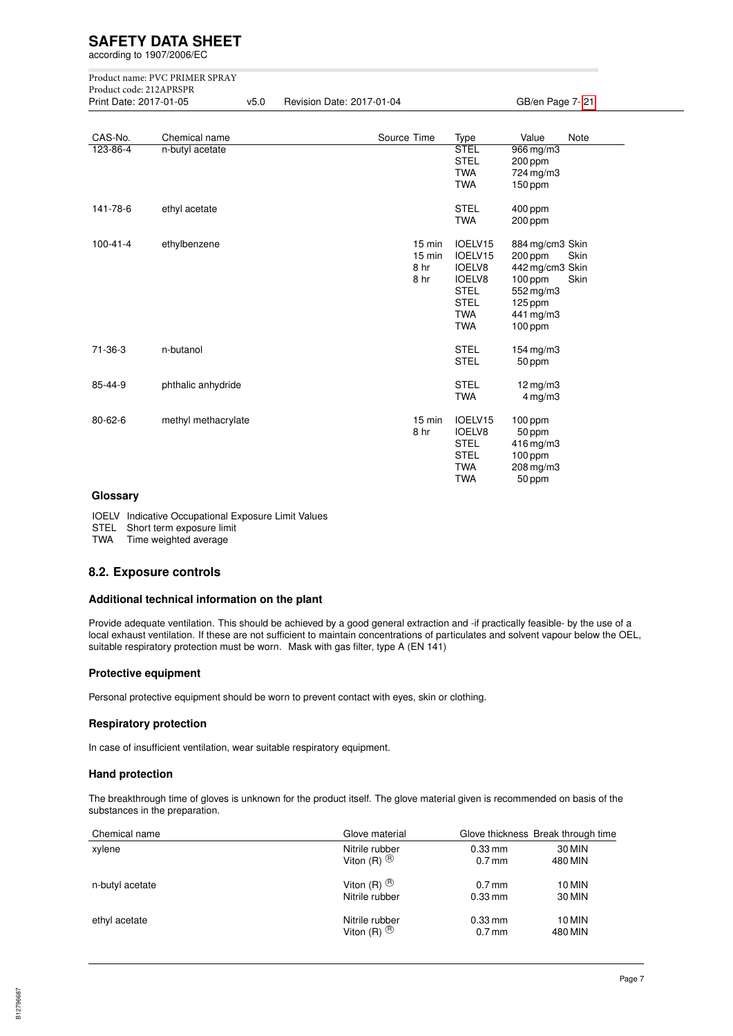according to 1907/2006/EC

Product name: PVC PRIMER SPRAY Product code: 212APRSPR

v5.0 Revision Date: 2017-01-04 GB/en Page 7- 21

| CAS-No.        | Chemical name       | Source Time                      | Type                                                                                                           | Value                                                                                                      | Note         |
|----------------|---------------------|----------------------------------|----------------------------------------------------------------------------------------------------------------|------------------------------------------------------------------------------------------------------------|--------------|
| 123-86-4       | n-butyl acetate     |                                  | <b>STEL</b><br><b>STEL</b><br><b>TWA</b><br><b>TWA</b>                                                         | 966 mg/m3<br>200 ppm<br>724 mg/m3<br>$150$ ppm                                                             |              |
| 141-78-6       | ethyl acetate       |                                  | <b>STEL</b><br><b>TWA</b>                                                                                      | 400 ppm<br>200 ppm                                                                                         |              |
| $100 - 41 - 4$ | ethylbenzene        | 15 min<br>15 min<br>8 hr<br>8 hr | IOELV15<br>IOELV15<br><b>IOELV8</b><br><b>IOELV8</b><br><b>STEL</b><br><b>STEL</b><br><b>TWA</b><br><b>TWA</b> | 884 mg/cm3 Skin<br>200 ppm<br>442 mg/cm3 Skin<br>$100$ ppm<br>552 mg/m3<br>125 ppm<br>441 mg/m3<br>100 ppm | Skin<br>Skin |
| 71-36-3        | n-butanol           |                                  | <b>STEL</b><br><b>STEL</b>                                                                                     | $154$ mg/m $3$<br>50 ppm                                                                                   |              |
| 85-44-9        | phthalic anhydride  |                                  | <b>STEL</b><br><b>TWA</b>                                                                                      | $12$ mg/m $3$<br>4 mg/m3                                                                                   |              |
| 80-62-6        | methyl methacrylate | 15 min<br>8 hr                   | IOELV15<br><b>IOELV8</b><br><b>STEL</b><br><b>STEL</b><br><b>TWA</b><br><b>TWA</b>                             | 100 ppm<br>50 ppm<br>416 mg/m3<br>100 ppm<br>208 mg/m3<br>50 ppm                                           |              |

#### **Glossary**

IOELV Indicative Occupational Exposure Limit Values

STEL Short term exposure limit

TWA Time weighted average

#### **8.2. Exposure controls**

#### **Additional technical information on the plant**

Provide adequate ventilation. This should be achieved by a good general extraction and -if practically feasible- by the use of a local exhaust ventilation. If these are not sufficient to maintain concentrations of particulates and solvent vapour below the OEL, suitable respiratory protection must be worn. Mask with gas filter, type A (EN 141)

#### **Protective equipment**

Personal protective equipment should be worn to prevent contact with eyes, skin or clothing.

#### **Respiratory protection**

In case of insufficient ventilation, wear suitable respiratory equipment.

#### **Hand protection**

The breakthrough time of gloves is unknown for the product itself. The glove material given is recommended on basis of the substances in the preparation.

| Chemical name   | Glove material        |           | Glove thickness Break through time |
|-----------------|-----------------------|-----------|------------------------------------|
| xylene          | Nitrile rubber        | $0.33$ mm | 30 MIN                             |
|                 | Viton $(R)$ $(B)$     | $0.7$ mm  | 480 MIN                            |
| n-butyl acetate | Viton $(R)$ $(B)$     | $0.7$ mm  | 10 MIN                             |
|                 | Nitrile rubber        | $0.33$ mm | 30 MIN                             |
| ethyl acetate   | Nitrile rubber        | $0.33$ mm | 10 MIN                             |
|                 | Viton (R) $\circledR$ | $0.7$ mm  | 480 MIN                            |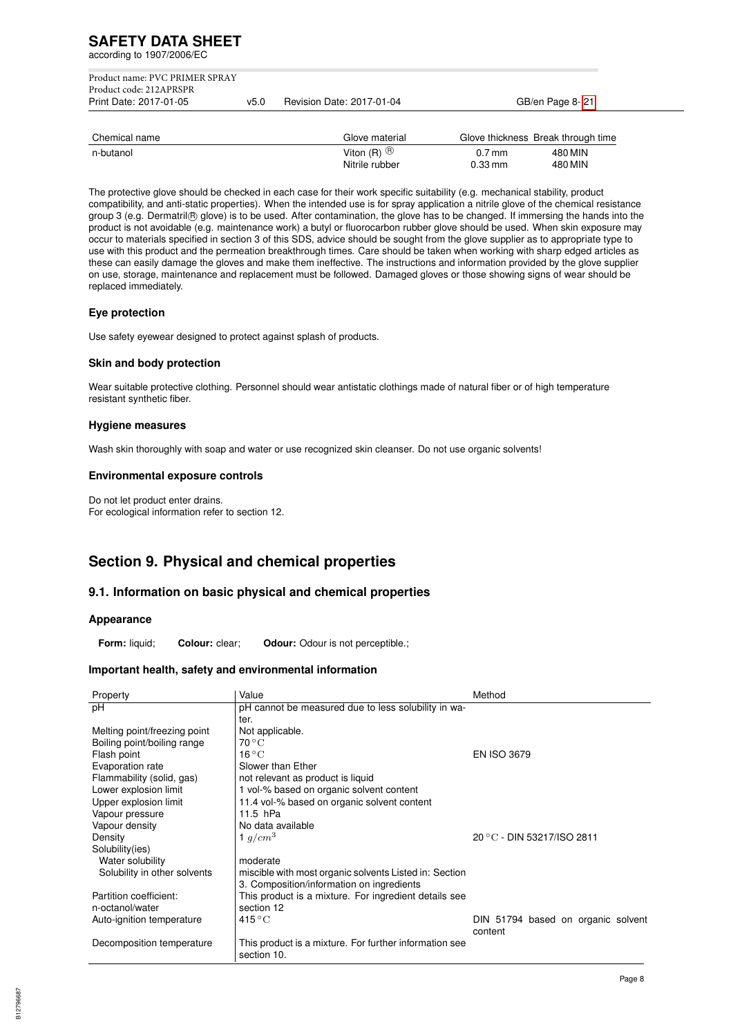according to 1907/2006/EC

| Print Date: 2017-01-05         | v5.0 | Revision Date: 2017-01-04 | GB/en Page 8-21 |
|--------------------------------|------|---------------------------|-----------------|
| Product code: 212APRSPR        |      |                           |                 |
| Product name: PVC PRIMER SPRAY |      |                           |                 |

| Chemical name | Glove material    |                      | Glove thickness Break through time |
|---------------|-------------------|----------------------|------------------------------------|
| n-butanol     | Viton $(R)$ $(B)$ | $0.7$ mm             | 480 MIN                            |
|               | Nitrile rubber    | $0.33 \,\mathrm{mm}$ | 480 MIN                            |

The protective glove should be checked in each case for their work specific suitability (e.g. mechanical stability, product compatibility, and anti-static properties). When the intended use is for spray application a nitrile glove of the chemical resistance group 3 (e.g. Dermatril ® glove) is to be used. After contamination, the glove has to be changed. If immersing the hands into the product is not avoidable (e.g. maintenance work) a butyl or fluorocarbon rubber glove should be used. When skin exposure may occur to materials specified in section 3 of this SDS, advice should be sought from the glove supplier as to appropriate type to use with this product and the permeation breakthrough times. Care should be taken when working with sharp edged articles as these can easily damage the gloves and make them ineffective. The instructions and information provided by the glove supplier on use, storage, maintenance and replacement must be followed. Damaged gloves or those showing signs of wear should be replaced immediately.

#### **Eye protection**

Use safety eyewear designed to protect against splash of products.

#### **Skin and body protection**

Wear suitable protective clothing. Personnel should wear antistatic clothings made of natural fiber or of high temperature resistant synthetic fiber.

#### **Hygiene measures**

Wash skin thoroughly with soap and water or use recognized skin cleanser. Do not use organic solvents!

#### **Environmental exposure controls**

Do not let product enter drains. For ecological information refer to section 12.

# **Section 9. Physical and chemical properties**

## **9.1. Information on basic physical and chemical properties**

#### **Appearance**

**Form:** liquid; **Colour:** clear; **Odour:** Odour is not perceptible.;

#### **Important health, safety and environmental information**

| Property                     | Value                                                                 | Method                             |
|------------------------------|-----------------------------------------------------------------------|------------------------------------|
| рH                           | pH cannot be measured due to less solubility in wa-                   |                                    |
|                              | ter.                                                                  |                                    |
| Melting point/freezing point | Not applicable.                                                       |                                    |
| Boiling point/boiling range  | $70^{\circ}$ C                                                        |                                    |
| Flash point                  | $16^{\circ}$ C                                                        | <b>EN ISO 3679</b>                 |
| Evaporation rate             | Slower than Ether                                                     |                                    |
| Flammability (solid, gas)    | not relevant as product is liquid                                     |                                    |
| Lower explosion limit        | 1 vol-% based on organic solvent content                              |                                    |
| Upper explosion limit        | 11.4 vol-% based on organic solvent content                           |                                    |
| Vapour pressure              | $11.5$ hPa                                                            |                                    |
| Vapour density               | No data available                                                     |                                    |
| Density                      | 1 $g/cm^3$                                                            | 20 °C - DIN 53217/ISO 2811         |
| Solubility(ies)              |                                                                       |                                    |
| Water solubility             | moderate                                                              |                                    |
| Solubility in other solvents | miscible with most organic solvents Listed in: Section                |                                    |
|                              | 3. Composition/information on ingredients                             |                                    |
| Partition coefficient:       | This product is a mixture. For ingredient details see                 |                                    |
| n-octanol/water              | section 12                                                            |                                    |
| Auto-ignition temperature    | $415^{\circ}$ C                                                       | DIN 51794 based on organic solvent |
|                              |                                                                       | content                            |
| Decomposition temperature    | This product is a mixture. For further information see<br>section 10. |                                    |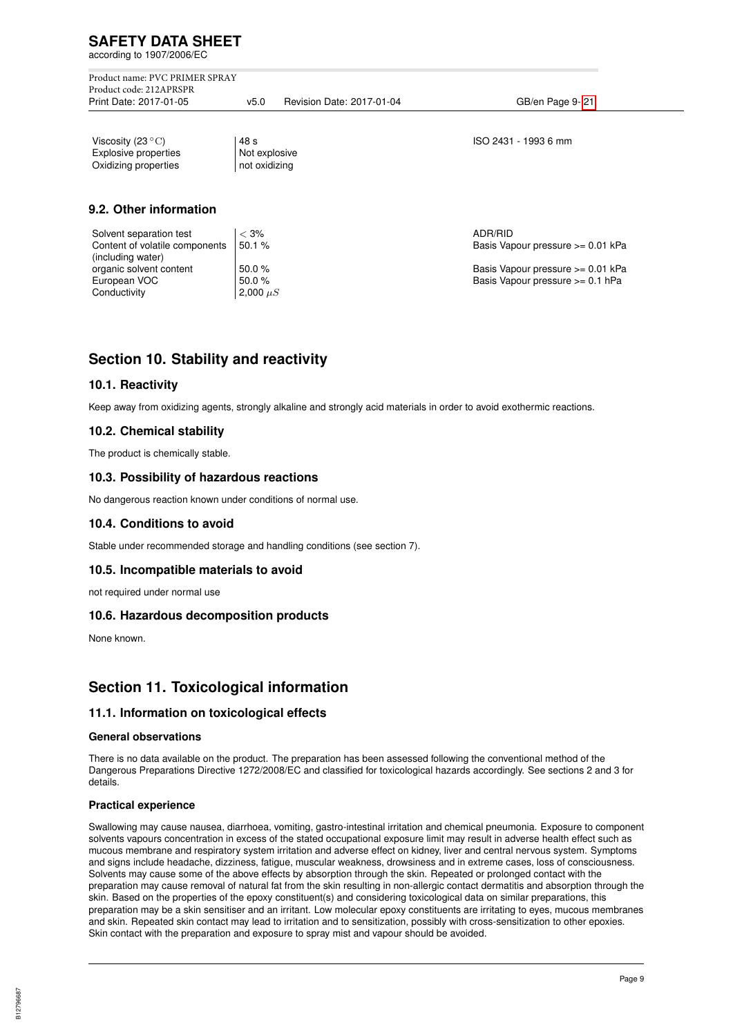according to 1907/2006/EC

Product name: PVC PRIMER SPRAY Product code: 212APRSPR

v5.0 Revision Date: 2017-01-04 GB/en Page 9- 21

Viscosity  $(23 °C)$   $|48 s$  ISO 2431 - 1993 6 mm<br>Explosive properties Not explosive Explosive properties Oxidizing properties | not oxidizing

# **9.2. Other information**

| Solvent separation test        | $<$ 3%        | ADR/RID                           |
|--------------------------------|---------------|-----------------------------------|
| Content of volatile components | 50.1%         | Basis Vapour pressure >= 0.01 kPa |
| (including water)              |               |                                   |
| organic solvent content        | $50.0 \%$     | Basis Vapour pressure >= 0.01 kPa |
| European VOC                   | 50.0%         | Basis Vapour pressure >= 0.1 hPa  |
| Conductivity                   | 2,000 $\mu$ S |                                   |
|                                |               |                                   |

# **Section 10. Stability and reactivity**

## **10.1. Reactivity**

Keep away from oxidizing agents, strongly alkaline and strongly acid materials in order to avoid exothermic reactions.

## **10.2. Chemical stability**

The product is chemically stable.

## **10.3. Possibility of hazardous reactions**

No dangerous reaction known under conditions of normal use.

## **10.4. Conditions to avoid**

Stable under recommended storage and handling conditions (see section 7).

## **10.5. Incompatible materials to avoid**

not required under normal use

## **10.6. Hazardous decomposition products**

None known.

# **Section 11. Toxicological information**

# **11.1. Information on toxicological effects**

#### **General observations**

There is no data available on the product. The preparation has been assessed following the conventional method of the Dangerous Preparations Directive 1272/2008/EC and classified for toxicological hazards accordingly. See sections 2 and 3 for details.

## **Practical experience**

Swallowing may cause nausea, diarrhoea, vomiting, gastro-intestinal irritation and chemical pneumonia. Exposure to component solvents vapours concentration in excess of the stated occupational exposure limit may result in adverse health effect such as mucous membrane and respiratory system irritation and adverse effect on kidney, liver and central nervous system. Symptoms and signs include headache, dizziness, fatigue, muscular weakness, drowsiness and in extreme cases, loss of consciousness. Solvents may cause some of the above effects by absorption through the skin. Repeated or prolonged contact with the preparation may cause removal of natural fat from the skin resulting in non-allergic contact dermatitis and absorption through the skin. Based on the properties of the epoxy constituent(s) and considering toxicological data on similar preparations, this preparation may be a skin sensitiser and an irritant. Low molecular epoxy constituents are irritating to eyes, mucous membranes and skin. Repeated skin contact may lead to irritation and to sensitization, possibly with cross-sensitization to other epoxies. Skin contact with the preparation and exposure to spray mist and vapour should be avoided.

B12796687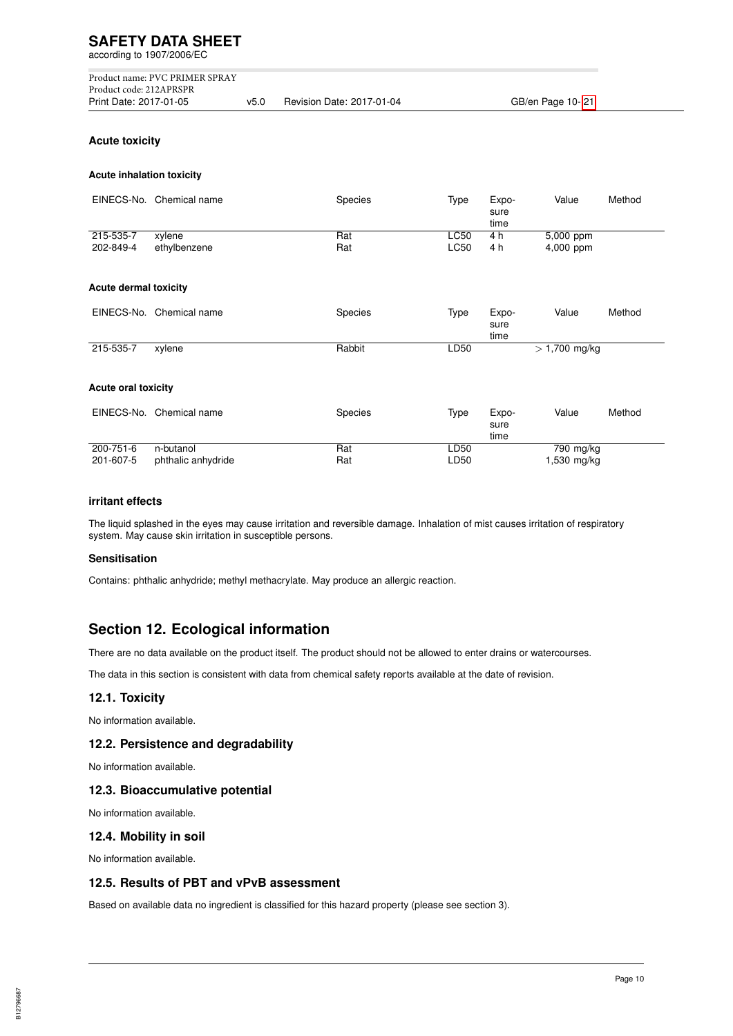**SAFETY DATA SHEET** according to 1907/2006/EC Product name: PVC PRIMER SPRAY Product code: 212APRSPR v5.0 Revision Date: 2017-01-04 GB/en Page 10-21 **Acute toxicity**

#### **Acute inhalation toxicity**

|                              | EINECS-No. Chemical name        | Species    | Type                | Expo-<br>sure<br>time | Value                      | Method |
|------------------------------|---------------------------------|------------|---------------------|-----------------------|----------------------------|--------|
| 215-535-7<br>202-849-4       | xylene<br>ethylbenzene          | Rat<br>Rat | LC50<br><b>LC50</b> | 4 h<br>4 h            | 5,000 ppm<br>4,000 ppm     |        |
| <b>Acute dermal toxicity</b> |                                 |            |                     |                       |                            |        |
| EINECS-No.                   | Chemical name                   | Species    | Type                | Expo-<br>sure<br>time | Value                      | Method |
| 215-535-7                    | xylene                          | Rabbit     | LD50                |                       | $> 1,700$ mg/kg            |        |
| <b>Acute oral toxicity</b>   |                                 |            |                     |                       |                            |        |
|                              | EINECS-No. Chemical name        | Species    | Type                | Expo-<br>sure<br>time | Value                      | Method |
| $200 - 751 - 6$<br>201-607-5 | n-butanol<br>phthalic anhydride | Rat<br>Rat | LD50<br>LD50        |                       | $790$ mg/kg<br>1,530 mg/kg |        |

#### **irritant effects**

The liquid splashed in the eyes may cause irritation and reversible damage. Inhalation of mist causes irritation of respiratory system. May cause skin irritation in susceptible persons.

#### **Sensitisation**

Contains: phthalic anhydride; methyl methacrylate. May produce an allergic reaction.

# **Section 12. Ecological information**

There are no data available on the product itself. The product should not be allowed to enter drains or watercourses.

The data in this section is consistent with data from chemical safety reports available at the date of revision.

#### **12.1. Toxicity**

No information available.

#### **12.2. Persistence and degradability**

No information available.

#### **12.3. Bioaccumulative potential**

No information available.

#### **12.4. Mobility in soil**

No information available.

#### **12.5. Results of PBT and vPvB assessment**

Based on available data no ingredient is classified for this hazard property (please see section 3).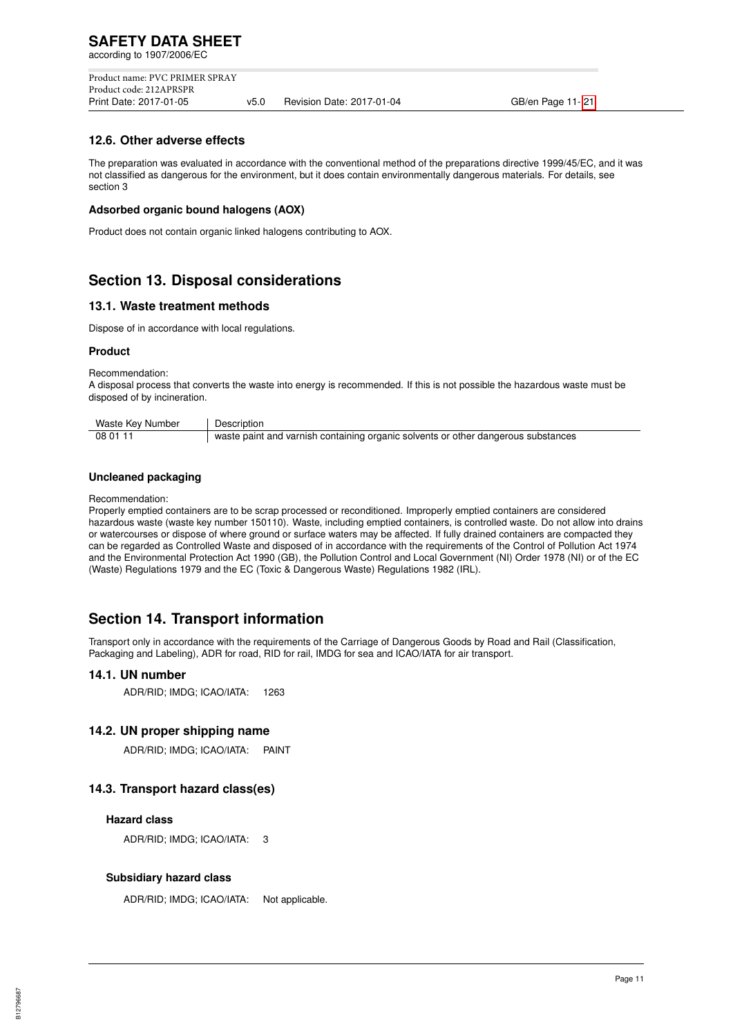Product name: PVC PRIMER SPRAY Product code: 212APRSPR v5.0 Revision Date: 2017-01-04 GB/en Page 11-21

#### **12.6. Other adverse effects**

The preparation was evaluated in accordance with the conventional method of the preparations directive 1999/45/EC, and it was not classified as dangerous for the environment, but it does contain environmentally dangerous materials. For details, see section 3

#### **Adsorbed organic bound halogens (AOX)**

Product does not contain organic linked halogens contributing to AOX.

# **Section 13. Disposal considerations**

#### **13.1. Waste treatment methods**

Dispose of in accordance with local regulations.

#### **Product**

Recommendation:

A disposal process that converts the waste into energy is recommended. If this is not possible the hazardous waste must be disposed of by incineration.

| Waste Key Number | Description                                                                                     |
|------------------|-------------------------------------------------------------------------------------------------|
| 08 01 11         | $\frac{1}{1}$ waste paint and varnish containing organic solvents or other dangerous substances |

#### **Uncleaned packaging**

Recommendation:

Properly emptied containers are to be scrap processed or reconditioned. Improperly emptied containers are considered hazardous waste (waste key number 150110). Waste, including emptied containers, is controlled waste. Do not allow into drains or watercourses or dispose of where ground or surface waters may be affected. If fully drained containers are compacted they can be regarded as Controlled Waste and disposed of in accordance with the requirements of the Control of Pollution Act 1974 and the Environmental Protection Act 1990 (GB), the Pollution Control and Local Government (NI) Order 1978 (NI) or of the EC (Waste) Regulations 1979 and the EC (Toxic & Dangerous Waste) Regulations 1982 (IRL).

# **Section 14. Transport information**

Transport only in accordance with the requirements of the Carriage of Dangerous Goods by Road and Rail (Classification, Packaging and Labeling), ADR for road, RID for rail, IMDG for sea and ICAO/IATA for air transport.

## **14.1. UN number**

ADR/RID; IMDG; ICAO/IATA: 1263

## **14.2. UN proper shipping name**

ADR/RID; IMDG; ICAO/IATA: PAINT

## **14.3. Transport hazard class(es)**

#### **Hazard class**

ADR/RID; IMDG; ICAO/IATA: 3

#### **Subsidiary hazard class**

ADR/RID; IMDG; ICAO/IATA: Not applicable.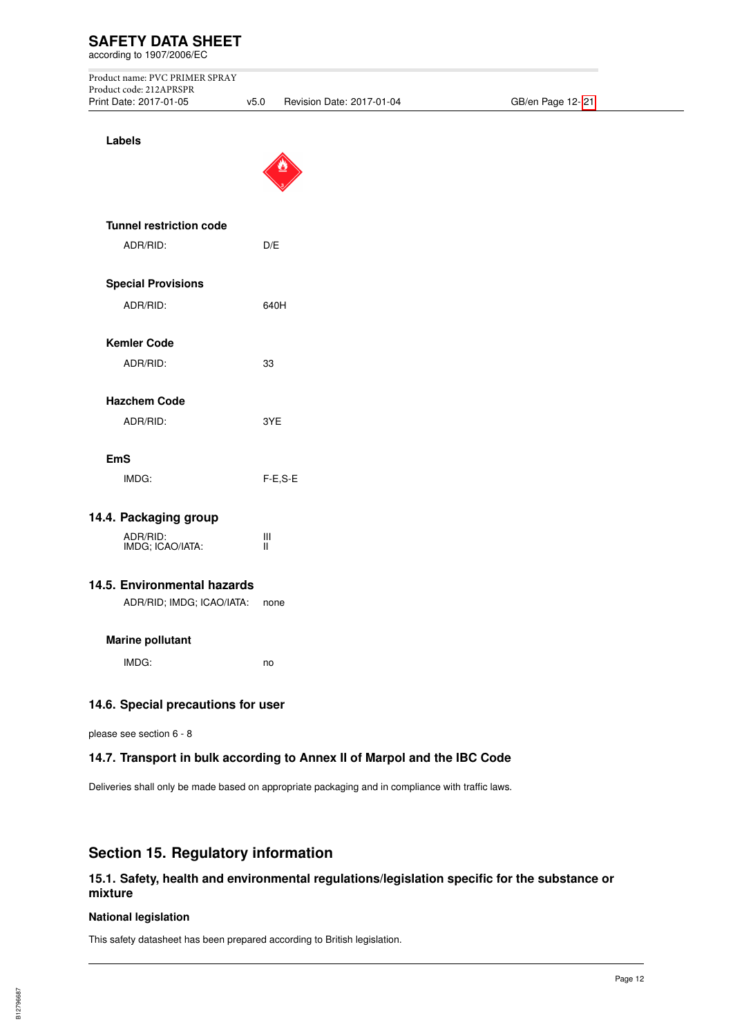according to 1907/2006/EC

| Product name: PVC PRIMER SPRAY |     |                       |
|--------------------------------|-----|-----------------------|
| Product code: 212APRSPR        |     |                       |
| Print Date: 2017-01-05         | v50 | Revision Date: 2017-0 |

01-04 GB/en Page 12-21

| Labels                             |           |  |
|------------------------------------|-----------|--|
|                                    |           |  |
| <b>Tunnel restriction code</b>     |           |  |
| ADR/RID:                           | D/E       |  |
| <b>Special Provisions</b>          |           |  |
| ADR/RID:                           | 640H      |  |
| <b>Kemler Code</b>                 |           |  |
| ADR/RID:                           | 33        |  |
| <b>Hazchem Code</b>                |           |  |
| ADR/RID:                           | 3YE       |  |
| <b>EmS</b>                         |           |  |
| IMDG:                              | $F-E.S-E$ |  |
| 14.4. Packaging group              |           |  |
| ADR/RID:<br>IMDG; ICAO/IATA:       | Ш<br>П    |  |
| 14.5. Environmental hazards        |           |  |
| ADR/RID; IMDG; ICAO/IATA:          | none      |  |
| <b>Marine pollutant</b>            |           |  |
| IMDG:                              | no        |  |
| 14.6. Special precautions for user |           |  |

please see section 6 - 8

## **14.7. Transport in bulk according to Annex II of Marpol and the IBC Code**

Deliveries shall only be made based on appropriate packaging and in compliance with traffic laws.

# **Section 15. Regulatory information**

# **15.1. Safety, health and environmental regulations/legislation specific for the substance or mixture**

#### **National legislation**

This safety datasheet has been prepared according to British legislation.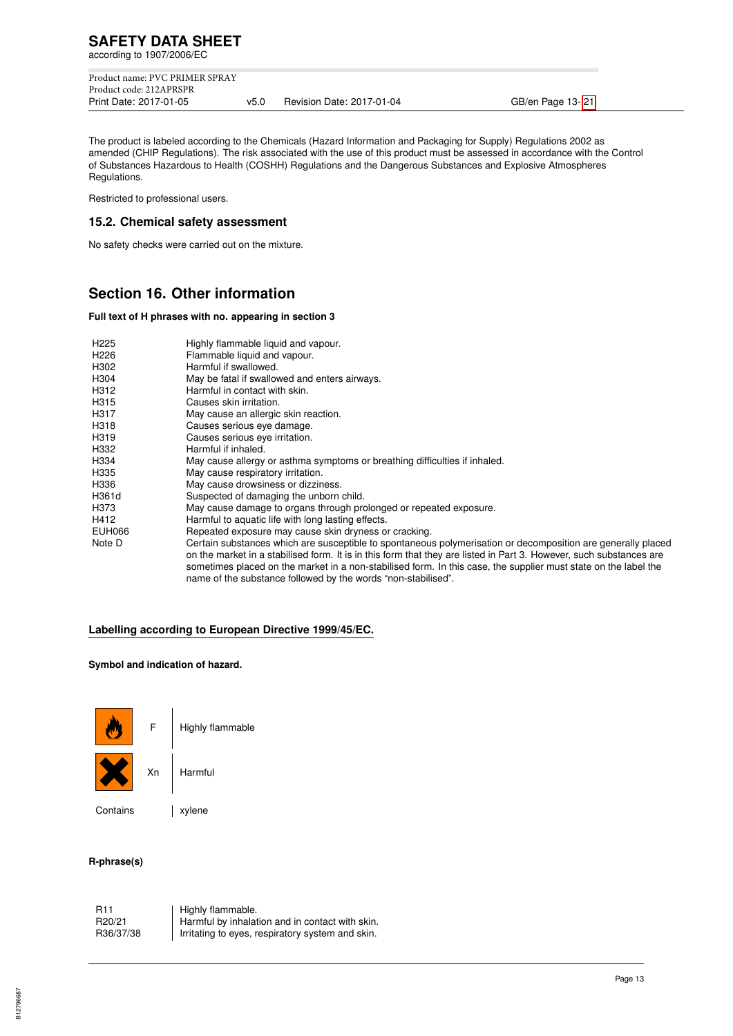Product name: PVC PRIMER SPRAY Product code: 212APRSPR<br>Print Date: 2017-01-05 v5.0 Revision Date: 2017-01-04 GB/en Page 13- 21

The product is labeled according to the Chemicals (Hazard Information and Packaging for Supply) Regulations 2002 as amended (CHIP Regulations). The risk associated with the use of this product must be assessed in accordance with the Control of Substances Hazardous to Health (COSHH) Regulations and the Dangerous Substances and Explosive Atmospheres Regulations.

Restricted to professional users.

## **15.2. Chemical safety assessment**

No safety checks were carried out on the mixture.

# **Section 16. Other information**

#### **Full text of H phrases with no. appearing in section 3**

| H <sub>225</sub> | Highly flammable liquid and vapour.                                                                                 |
|------------------|---------------------------------------------------------------------------------------------------------------------|
| H <sub>226</sub> | Flammable liquid and vapour.                                                                                        |
| H302             | Harmful if swallowed.                                                                                               |
| H304             | May be fatal if swallowed and enters airways.                                                                       |
| H312             | Harmful in contact with skin.                                                                                       |
| H315             | Causes skin irritation.                                                                                             |
| H317             | May cause an allergic skin reaction.                                                                                |
| H318             | Causes serious eye damage.                                                                                          |
| H319             | Causes serious eye irritation.                                                                                      |
| H332             | Harmful if inhaled.                                                                                                 |
| H334             | May cause allergy or asthma symptoms or breathing difficulties if inhaled.                                          |
| H335             | May cause respiratory irritation.                                                                                   |
| H336             | May cause drowsiness or dizziness.                                                                                  |
| H361d            | Suspected of damaging the unborn child.                                                                             |
| H373             | May cause damage to organs through prolonged or repeated exposure.                                                  |
| H412             | Harmful to aquatic life with long lasting effects.                                                                  |
| <b>EUH066</b>    | Repeated exposure may cause skin dryness or cracking.                                                               |
| Note D           | Certain substances which are susceptible to spontaneous polymerisation or decomposition are generally placed        |
|                  | on the market in a stabilised form. It is in this form that they are listed in Part 3. However, such substances are |
|                  | sometimes placed on the market in a non-stabilised form. In this case, the supplier must state on the label the     |
|                  | name of the substance followed by the words "non-stabilised".                                                       |

# **Labelling according to European Directive 1999/45/EC.**

#### **Symbol and indication of hazard.**



 $F$  | Highly flammable



Xn Harmful

Contains | xylene

## **R-phrase(s)**

R11 | Highly flammable.<br>R20/21 | Harmful by inhalat R20/21 Harmful by inhalation and in contact with skin.<br>R36/37/38 Irritating to eyes, respiratory system and skin. Irritating to eyes, respiratory system and skin.